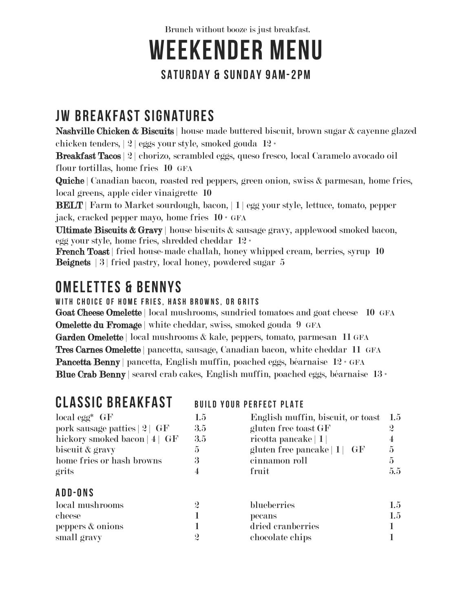Brunch without booze is just breakfast.

# **WEEKENDER MENU**

#### **SATURDAY & SUNDAY 9AM-2PM**

## **JW BREAKFAST SIGNATURES**

Nashville Chicken & Biscuits | house made buttered biscuit, brown sugar & cayenne glazed chicken tenders, | 2 | eggs your style, smoked gouda 12 \*

Breakfast Tacos | 2 | chorizo, scrambled eggs, queso fresco, local Caramelo avocado oil flour tortillas, home fries 10 GFA

Quiche | Canadian bacon, roasted red peppers, green onion, swiss & parmesan, home fries, local greens, apple cider vinaigrette 10

BELT | Farm to Market sourdough, bacon, | 1 | egg your style, lettuce, tomato, pepper jack, cracked pepper mayo, home fries 10 \* GFA

Ultimate Biscuits  $\&$  Gravy | house biscuits  $\&$  sausage gravy, applewood smoked bacon, egg your style, home fries, shredded cheddar 12 \*

French Toast | fried house-made challah, honey whipped cream, berries, syrup 10 Beignets | 3 | fried pastry, local honey, powdered sugar 5

#### **OMELETTES & BENNYS**

WITH CHOICE OF HOME FRIES, HASH BROWNS, OR GRITS

Goat Cheese Omelette | local mushrooms, sundried tomatoes and goat cheese 10 GFA Omelette du Fromage | white cheddar, swiss, smoked gouda 9 GFA Garden Omelette | local mushrooms & kale, peppers, tomato, parmesan 11 GFA Tres Carnes Omelette | pancetta, sausage, Canadian bacon, white cheddar 11 GFA Pancetta Benny | pancetta, English muffin, poached eggs, béarnaise 12 \* GFA Blue Crab Benny | seared crab cakes, English muffin, poached eggs, béarnaise 13 \*

#### **CLASSIC BREAKFAST**

#### **BUILD YOUR PERFECT PLATE**

| $local$ egg* $GF$<br>pork sausage patties   2   GF<br>hickory smoked bacon $ 4 $ GF<br>biscuit & gravy<br>home fries or hash browns<br>grits | $1.5\,$<br>3.5<br>3.5<br>$\overline{5}$<br>3<br>4 | English muffin, biscuit, or toast $1.5$<br>gluten free toast GF<br>ricotta pancake $ 1 $<br>gluten free pancake $ 1 $ GF<br>cinnamon roll<br>fruit | $\boldsymbol{2}$<br>4<br>$\overline{5}$<br>$\overline{5}$<br>5.5 |
|----------------------------------------------------------------------------------------------------------------------------------------------|---------------------------------------------------|----------------------------------------------------------------------------------------------------------------------------------------------------|------------------------------------------------------------------|
| <b>ADD-ONS</b>                                                                                                                               |                                                   |                                                                                                                                                    |                                                                  |
| local mushrooms                                                                                                                              | $\boldsymbol{2}$                                  | blueberries                                                                                                                                        | $1.5\,$                                                          |
| cheese                                                                                                                                       |                                                   | pecans                                                                                                                                             | 1.5                                                              |
| peppers & onions                                                                                                                             |                                                   | dried cranberries                                                                                                                                  |                                                                  |
| small gravy                                                                                                                                  | $\boldsymbol{2}$                                  | chocolate chips                                                                                                                                    |                                                                  |